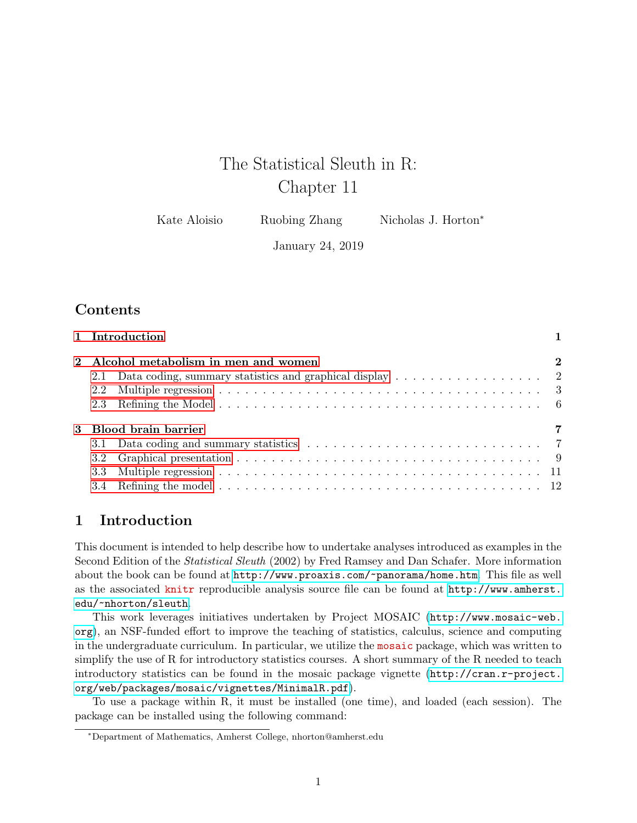# The Statistical Sleuth in R: Chapter 11

| Kate Aloisio | Ruobing Zhang | Nicholas J. Horton <sup>*</sup> |
|--------------|---------------|---------------------------------|
|              |               |                                 |

January 24, 2019

# **Contents**

|                       | 1 Introduction                                                                              |          |  |  |  |  |
|-----------------------|---------------------------------------------------------------------------------------------|----------|--|--|--|--|
|                       | 2 Alcohol metabolism in men and women                                                       | $\bf{2}$ |  |  |  |  |
| 2.1                   | Data coding, summary statistics and graphical display $\dots \dots \dots \dots \dots \dots$ |          |  |  |  |  |
| 2.2                   |                                                                                             |          |  |  |  |  |
|                       |                                                                                             |          |  |  |  |  |
| 3 Blood brain barrier |                                                                                             |          |  |  |  |  |
|                       |                                                                                             |          |  |  |  |  |
|                       |                                                                                             |          |  |  |  |  |
|                       |                                                                                             |          |  |  |  |  |
|                       |                                                                                             |          |  |  |  |  |

# <span id="page-0-0"></span>1 Introduction

This document is intended to help describe how to undertake analyses introduced as examples in the Second Edition of the Statistical Sleuth (2002) by Fred Ramsey and Dan Schafer. More information about the book can be found at <http://www.proaxis.com/~panorama/home.htm>. This file as well as the associated knitr reproducible analysis source file can be found at [http://www.amherst.](http://www.amherst.edu/~nhorton/sleuth) [edu/~nhorton/sleuth](http://www.amherst.edu/~nhorton/sleuth).

This work leverages initiatives undertaken by Project MOSAIC ([http://www.mosaic-web.](http://www.mosaic-web.org) [org](http://www.mosaic-web.org)), an NSF-funded effort to improve the teaching of statistics, calculus, science and computing in the undergraduate curriculum. In particular, we utilize the mosaic package, which was written to simplify the use of R for introductory statistics courses. A short summary of the R needed to teach introductory statistics can be found in the mosaic package vignette ([http://cran.r-project.](http://cran.r-project.org/web/packages/mosaic/vignettes/MinimalR.pdf) [org/web/packages/mosaic/vignettes/MinimalR.pdf](http://cran.r-project.org/web/packages/mosaic/vignettes/MinimalR.pdf)).

To use a package within R, it must be installed (one time), and loaded (each session). The package can be installed using the following command:

<sup>∗</sup>Department of Mathematics, Amherst College, nhorton@amherst.edu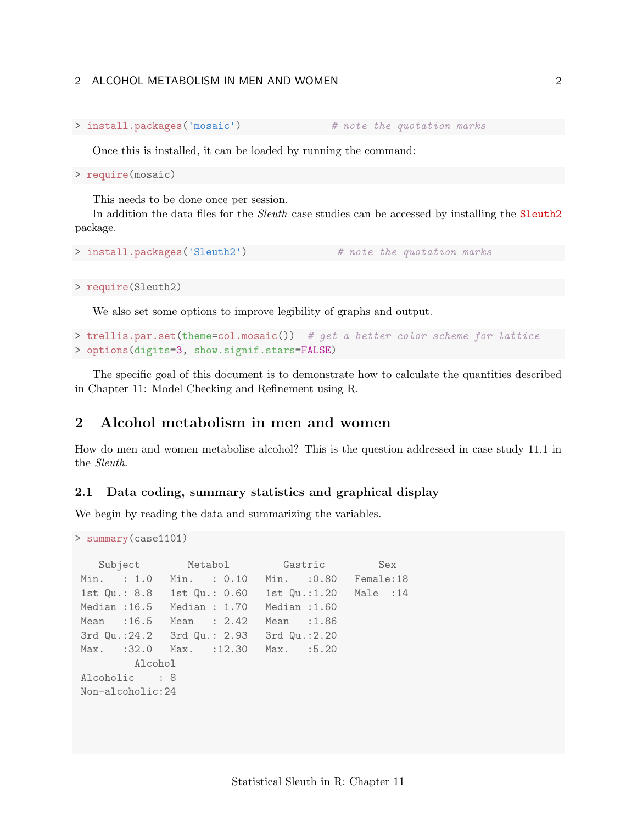### 2 ALCOHOL METABOLISM IN MEN AND WOMEN 2

```
> install.packages('mosaic') # note the quotation marks
```
Once this is installed, it can be loaded by running the command:

> require(mosaic)

This needs to be done once per session.

In addition the data files for the *Sleuth* case studies can be accessed by installing the **Sleuth2** package.

```
> install.packages('Sleuth2') # note the quotation marks
```
> require(Sleuth2)

We also set some options to improve legibility of graphs and output.

```
> trellis.par.set(theme=col.mosaic()) # get a better color scheme for lattice
> options(digits=3, show.signif.stars=FALSE)
```
The specific goal of this document is to demonstrate how to calculate the quantities described in Chapter 11: Model Checking and Refinement using R.

# <span id="page-1-0"></span>2 Alcohol metabolism in men and women

How do men and women metabolise alcohol? This is the question addressed in case study 11.1 in the Sleuth.

### <span id="page-1-1"></span>2.1 Data coding, summary statistics and graphical display

We begin by reading the data and summarizing the variables.

```
> summary(case1101)
```

```
Subject Metabol Gastric Sex
Min. : 1.0 Min. : 0.10 Min. :0.80 Female:18
1st Qu.: 8.8 1st Qu.: 0.60 1st Qu.:1.20 Male :14
Median :16.5 Median : 1.70 Median :1.60
Mean :16.5 Mean : 2.42 Mean :1.86
3rd Qu.:24.2 3rd Qu.: 2.93 3rd Qu.:2.20
Max. :32.0 Max. :12.30 Max. :5.20
       Alcohol
Alcoholic : 8
Non-alcoholic:24
```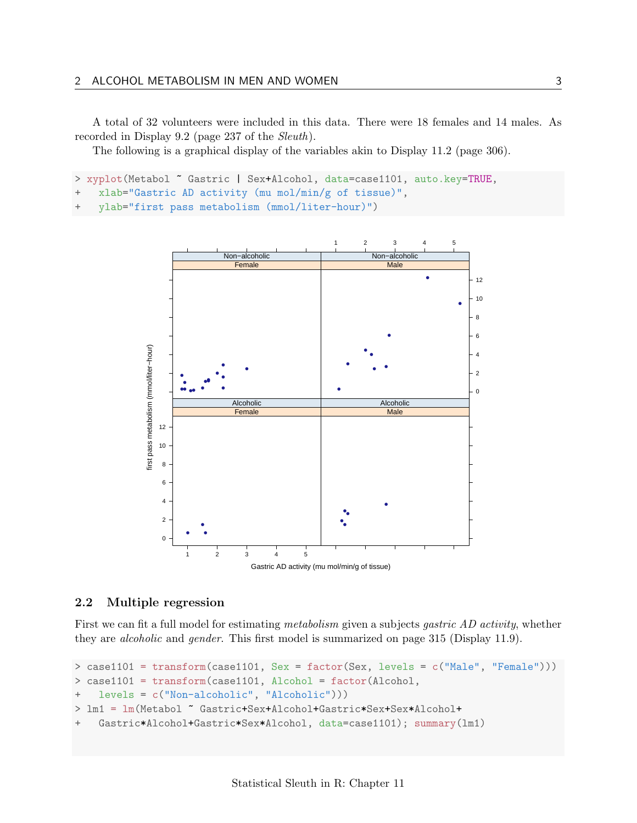A total of 32 volunteers were included in this data. There were 18 females and 14 males. As recorded in Display 9.2 (page 237 of the Sleuth).

The following is a graphical display of the variables akin to Display 11.2 (page 306).

> xyplot(Metabol ~ Gastric | Sex+Alcohol, data=case1101, auto.key=TRUE,

```
+ xlab="Gastric AD activity (mu mol/min/g of tissue)",
```

```
+ ylab="first pass metabolism (mmol/liter-hour)")
```


### <span id="page-2-0"></span>2.2 Multiple regression

First we can fit a full model for estimating *metabolism* given a subjects *quatric AD activity*, whether they are alcoholic and gender. This first model is summarized on page 315 (Display 11.9).

```
> case1101 = transform(case1101, Sex = factor(Sex, levels = c("Male", "Female")))
> case1101 = transform(case1101, Alcohol = factor(Alcohol,
+ levels = c("Non-alcoholic", "Alcoholic")))
> lm1 = lm(Metabol ~ Gastric+Sex+Alcohol+Gastric*Sex+Sex*Alcohol+
+ Gastric*Alcohol+Gastric*Sex*Alcohol, data=case1101); summary(lm1)
```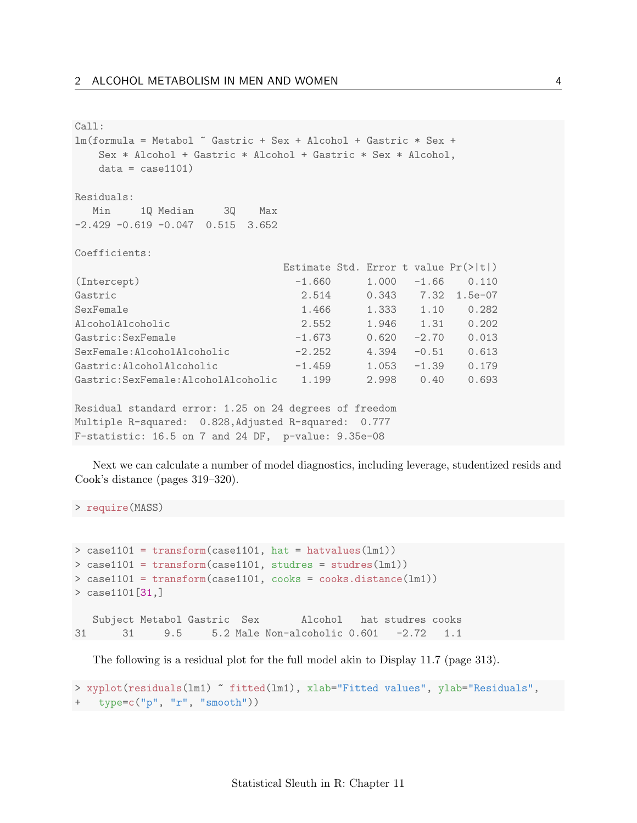| Call:                                                                                                                                                              |                |  |       |                        |                                                  |  |  |  |
|--------------------------------------------------------------------------------------------------------------------------------------------------------------------|----------------|--|-------|------------------------|--------------------------------------------------|--|--|--|
| $lm(formula = Metabol$ $\tilde{G}$ Gastric + Sex + Alcohol + Gastric * Sex +<br>Sex * Alcohol + Gastric * Alcohol + Gastric * Sex * Alcohol,<br>$data = case1101)$ |                |  |       |                        |                                                  |  |  |  |
| Residuals:                                                                                                                                                         |                |  |       |                        |                                                  |  |  |  |
| Min 10 Median 30 Max<br>$-2.429 -0.619 -0.047$ 0.515 3.652                                                                                                         |                |  |       |                        |                                                  |  |  |  |
| Coefficients:                                                                                                                                                      |                |  |       |                        |                                                  |  |  |  |
|                                                                                                                                                                    |                |  |       |                        | Estimate Std. Error t value $Pr(>\vert t \vert)$ |  |  |  |
| (Intercept)                                                                                                                                                        | $-1.660$       |  |       |                        | $1.000 - 1.66 0.110$                             |  |  |  |
| Gastric                                                                                                                                                            |                |  |       |                        | 2.514 0.343 7.32 1.5e-07                         |  |  |  |
| SexFemale                                                                                                                                                          | 1.466          |  | 1.333 | 1.10                   | 0.282                                            |  |  |  |
| AlcoholAlcoholic                                                                                                                                                   | 2.552          |  |       | 1.946 1.31             | 0.202                                            |  |  |  |
| Gastric: SexFemale                                                                                                                                                 |                |  |       | $-1.673$ 0.620 $-2.70$ | 0.013                                            |  |  |  |
| SexFemale: AlcoholAlcoholic                                                                                                                                        | $-2.252$ 4.394 |  |       | $-0.51$                | 0.613                                            |  |  |  |
| Gastric: AlcoholAlcoholic                                                                                                                                          | $-1.459$ 1.053 |  |       | $-1.39$                | 0.179                                            |  |  |  |
| Gastric:SexFemale:AlcoholAlcoholic 1.199 2.998 0.40                                                                                                                |                |  |       |                        | 0.693                                            |  |  |  |
| Residual standard error: 1.25 on 24 degrees of freedom                                                                                                             |                |  |       |                        |                                                  |  |  |  |
| Multiple R-squared: 0.828, Adjusted R-squared: 0.777                                                                                                               |                |  |       |                        |                                                  |  |  |  |
| F-statistic: 16.5 on 7 and 24 DF, p-value: 9.35e-08                                                                                                                |                |  |       |                        |                                                  |  |  |  |

Next we can calculate a number of model diagnostics, including leverage, studentized resids and Cook's distance (pages 319–320).

> require(MASS)

```
> case1101 = transform(case1101, hat = hatvalues(lm1))
> case1101 = transform(case1101, studres = studres(lm1))
> case1101 = transform(case1101, cooks = cooks.distance(lm1))
> case1101[31,]
  Subject Metabol Gastric Sex Alcohol hat studres cooks
31 31 9.5 5.2 Male Non-alcoholic 0.601 -2.72 1.1
```
The following is a residual plot for the full model akin to Display 11.7 (page 313).

```
> xyplot(residuals(lm1) ~ fitted(lm1), xlab="Fitted values", ylab="Residuals",
+ type=c("p", "r", "smooth"))
```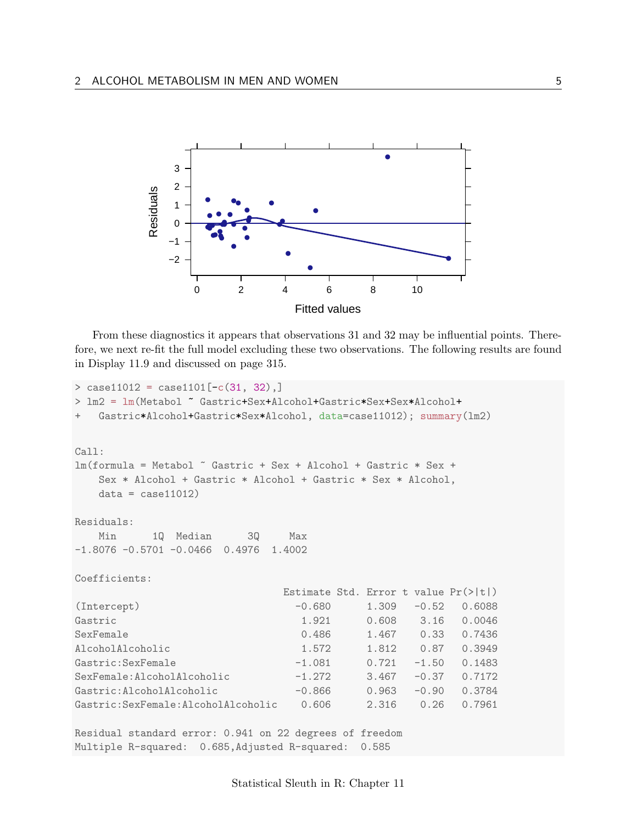

From these diagnostics it appears that observations 31 and 32 may be influential points. Therefore, we next re-fit the full model excluding these two observations. The following results are found in Display 11.9 and discussed on page 315.

```
> case11012 = case1101[-c(31, 32),]
> lm2 = lm(Metabol ~ Gastric+Sex+Alcohol+Gastric*Sex+Sex*Alcohol+
+ Gastric*Alcohol+Gastric*Sex*Alcohol, data=case11012); summary(lm2)
Call:
lm(formula = Metabol ~ Gastric + Sex + Alcohol + Gastric * Sex +
   Sex * Alcohol + Gastric * Alcohol + Gastric * Sex * Alcohol,
   data = case11012)Residuals:
   Min 1Q Median 3Q Max
-1.8076 -0.5701 -0.0466 0.4976 1.4002
Coefficients:
                           Estimate Std. Error t value Pr(>|t|)
(Intercept) -0.680 1.309 -0.52 0.6088
Gastric 1.921 0.608 3.16 0.0046
SexFemale 0.486 1.467 0.33 0.7436
AlcoholAlcoholic 1.572 1.812 0.87 0.3949
Gastric:SexFemale -1.081 0.721 -1.50 0.1483
SexFemale:AlcoholAlcoholic -1.272 3.467 -0.37 0.7172
Gastric:AlcoholAlcoholic -0.866 0.963 -0.90 0.3784
Gastric:SexFemale:AlcoholAlcoholic 0.606 2.316 0.26 0.7961
Residual standard error: 0.941 on 22 degrees of freedom
Multiple R-squared: 0.685,Adjusted R-squared: 0.585
```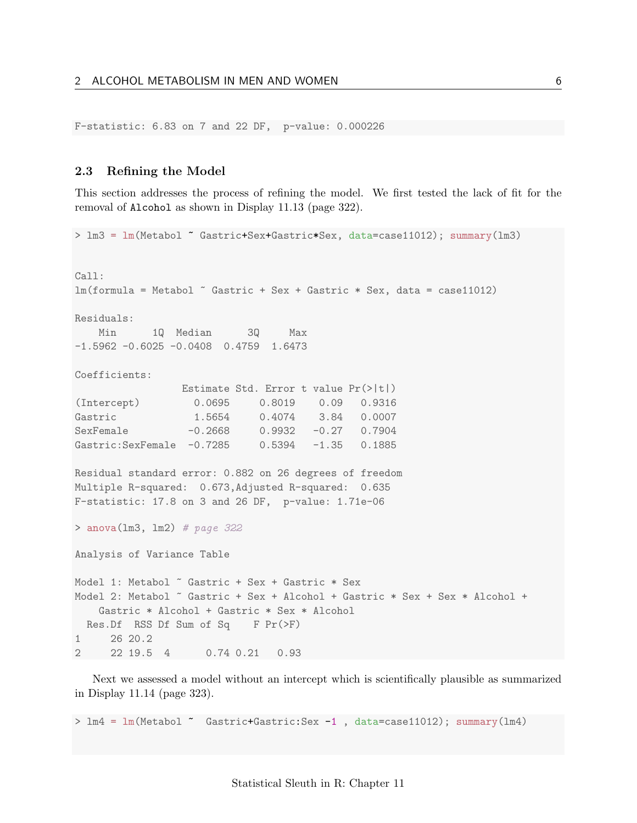F-statistic: 6.83 on 7 and 22 DF, p-value: 0.000226

### <span id="page-5-0"></span>2.3 Refining the Model

This section addresses the process of refining the model. We first tested the lack of fit for the removal of Alcohol as shown in Display 11.13 (page 322).

```
> lm3 = lm(Metabol ~ Gastric+Sex+Gastric*Sex, data=case11012); summary(lm3)
Call:
lm(formula = Metabol \tilde{ } Gastric + Sex + Gastric * Sex, data = case11012)
Residuals:
   Min 1Q Median 3Q Max
-1.5962 -0.6025 -0.0408 0.4759 1.6473
Coefficients:
                Estimate Std. Error t value Pr(>|t|)
(Intercept) 0.0695 0.8019 0.09 0.9316
Gastric 1.5654 0.4074 3.84 0.0007
SexFemale -0.2668 0.9932 -0.27 0.7904
Gastric:SexFemale -0.7285 0.5394 -1.35 0.1885
Residual standard error: 0.882 on 26 degrees of freedom
Multiple R-squared: 0.673,Adjusted R-squared: 0.635
F-statistic: 17.8 on 3 and 26 DF, p-value: 1.71e-06
> anova(\text{lm3}, \text{lm2}) # page 322
Analysis of Variance Table
Model 1: Metabol ~ Gastric + Sex + Gastric * Sex
Model 2: Metabol ~ Gastric + Sex + Alcohol + Gastric * Sex + Sex * Alcohol +
   Gastric * Alcohol + Gastric * Sex * Alcohol
 Res.Df RSS Df Sum of Sq F Pr(\ge F)1 26 20.2
2 22 19.5 4 0.74 0.21 0.93
```
Next we assessed a model without an intercept which is scientifically plausible as summarized in Display 11.14 (page 323).

> lm4 = lm(Metabol ~ Gastric+Gastric:Sex -1 , data=case11012); summary(lm4)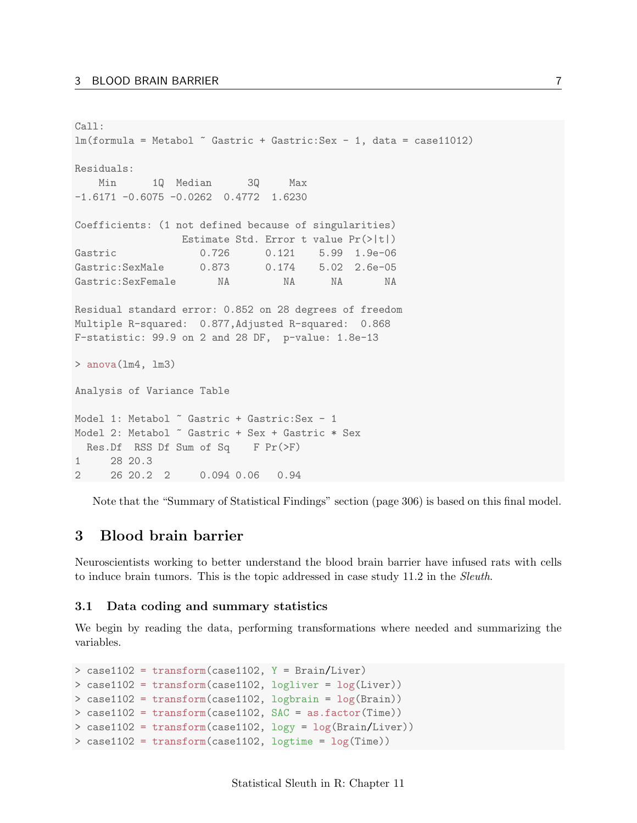Call:  $lm(formula = Metabol$   $\tilde{ }$  Gastric + Gastro:Sex - 1, data = case11012)Residuals: Min 1Q Median 3Q Max -1.6171 -0.6075 -0.0262 0.4772 1.6230 Coefficients: (1 not defined because of singularities) Estimate Std. Error t value Pr(>|t|) Gastric 0.726 0.121 5.99 1.9e-06 Gastric:SexMale 0.873 0.174 5.02 2.6e-05 Gastric:SexFemale NA NA NA NA Residual standard error: 0.852 on 28 degrees of freedom Multiple R-squared: 0.877,Adjusted R-squared: 0.868 F-statistic: 99.9 on 2 and 28 DF, p-value: 1.8e-13  $>$  anova $(\text{lm}4, \text{lm}3)$ Analysis of Variance Table Model 1: Metabol ~ Gastric + Gastric: Sex - 1 Model 2: Metabol ~ Gastric + Sex + Gastric \* Sex Res.Df RSS Df Sum of Sq  $F Pr(\ge F)$ 1 28 20.3 2 26 20.2 2 0.094 0.06 0.94

Note that the "Summary of Statistical Findings" section (page 306) is based on this final model.

### <span id="page-6-0"></span>3 Blood brain barrier

Neuroscientists working to better understand the blood brain barrier have infused rats with cells to induce brain tumors. This is the topic addressed in case study 11.2 in the Sleuth.

### <span id="page-6-1"></span>3.1 Data coding and summary statistics

We begin by reading the data, performing transformations where needed and summarizing the variables.

```
> case1102 = transform(case1102, Y = Brain/Liver)
> case1102 = transform(case1102, logliver = log(Liver))
> case1102 = transform(case1102, logbrain = log(Brain))
> case1102 = transform(case1102, SAC = as.factor(Time))
> case1102 = transform(case1102, logy = log(Brain/Liver))
> case1102 = transform(case1102, logtime = log(Time))
```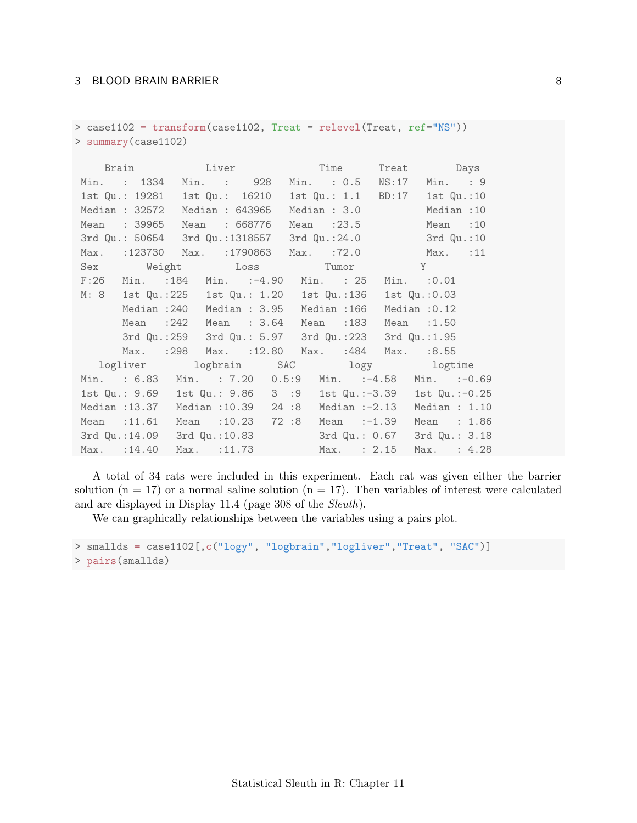> case1102 = transform(case1102, Treat = relevel(Treat, ref="NS")) > summary(case1102)

|  |                             |  |                                                         | Min. : 1334 Min. : 928 Min. : 0.5 NS:17 Min. : 9                        |
|--|-----------------------------|--|---------------------------------------------------------|-------------------------------------------------------------------------|
|  |                             |  |                                                         | 1st Qu.: 19281    1st Qu.: 16210    1st Qu.: 1.1    BD:17    1st Qu.:10 |
|  |                             |  |                                                         | Median : 32572 Median : 643965 Median : 3.0 Median : 10                 |
|  |                             |  |                                                         | Mean : 39965 Mean : 668776 Mean : 23.5 Mean : 10                        |
|  |                             |  |                                                         | 3rd Qu.: 50654 3rd Qu.:1318557 3rd Qu.:24.0 3rd Qu.:10                  |
|  |                             |  |                                                         | Max. : 123730 Max. : 1790863 Max. : 72.0 Max. : 11                      |
|  |                             |  |                                                         | Sex Weight Loss Tumor Y                                                 |
|  |                             |  |                                                         | F:26 Min. :184 Min. :-4.90 Min. : 25 Min. :0.01                         |
|  |                             |  | M: 8 1st Qu.:225 1st Qu.: 1.20 1st Qu.:136 1st Qu.:0.03 |                                                                         |
|  |                             |  | Median : 240 Median : 3.95 Median : 166 Median : 0.12   |                                                                         |
|  |                             |  | Mean : 242 Mean : 3.64 Mean : 183 Mean : 1.50           |                                                                         |
|  |                             |  |                                                         | 3rd Qu.:259 3rd Qu.: 5.97 3rd Qu.:223 3rd Qu.:1.95                      |
|  |                             |  |                                                         | Max. :298 Max. :12.80 Max. :484 Max. :8.55                              |
|  |                             |  |                                                         | logliver logbrain SAC logy logtime                                      |
|  |                             |  |                                                         | Min. : 6.83 Min. : 7.20 0.5:9 Min. :-4.58 Min. :-0.69                   |
|  |                             |  |                                                         | 1st Qu.: 9.69 1st Qu.: 9.86 3 :9 1st Qu.:-3.39 1st Qu.:-0.25            |
|  |                             |  |                                                         | Median : 13.37 Median : 10.39 24 : 8 Median : - 2.13 Median : 1.10      |
|  |                             |  |                                                         | Mean :11.61 Mean :10.23 72:8 Mean :-1.39 Mean : 1.86                    |
|  | 3rd Qu.:14.09 3rd Qu.:10.83 |  |                                                         | 3rd Qu.: 0.67 3rd Qu.: 3.18                                             |
|  |                             |  |                                                         | Max. : 14.40 Max. : 11.73 Max. : 2.15 Max. : 4.28                       |

A total of 34 rats were included in this experiment. Each rat was given either the barrier solution ( $n = 17$ ) or a normal saline solution ( $n = 17$ ). Then variables of interest were calculated and are displayed in Display 11.4 (page 308 of the Sleuth).

We can graphically relationships between the variables using a pairs plot.

> smallds = case1102[,c("logy", "logbrain","logliver","Treat", "SAC")] > pairs(smallds)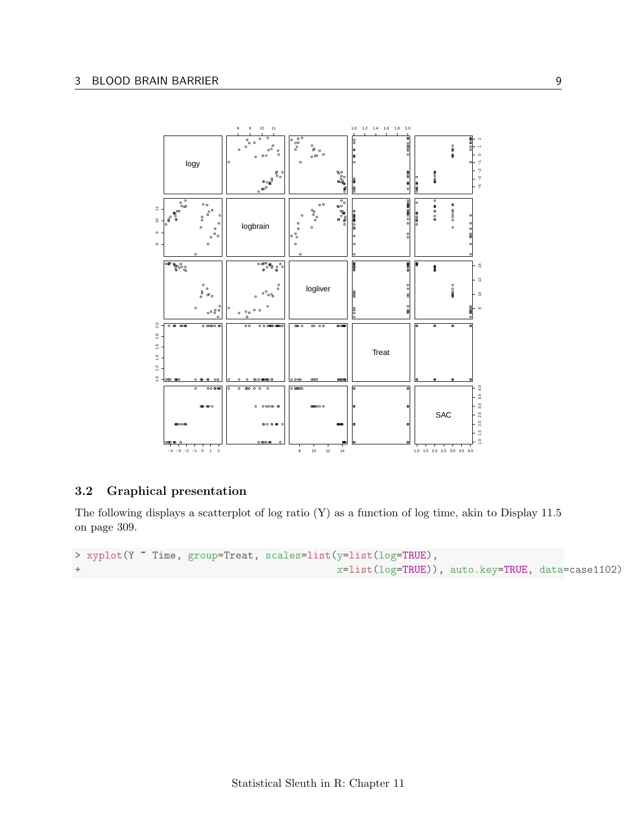

### <span id="page-8-0"></span>3.2 Graphical presentation

The following displays a scatterplot of log ratio (Y) as a function of log time, akin to Display 11.5 on page 309.

```
> xyplot(Y ~ Time, group=Treat, scales=list(y=list(log=TRUE),
+ x=list(log=TRUE)), auto.key=TRUE, data=case1102)
```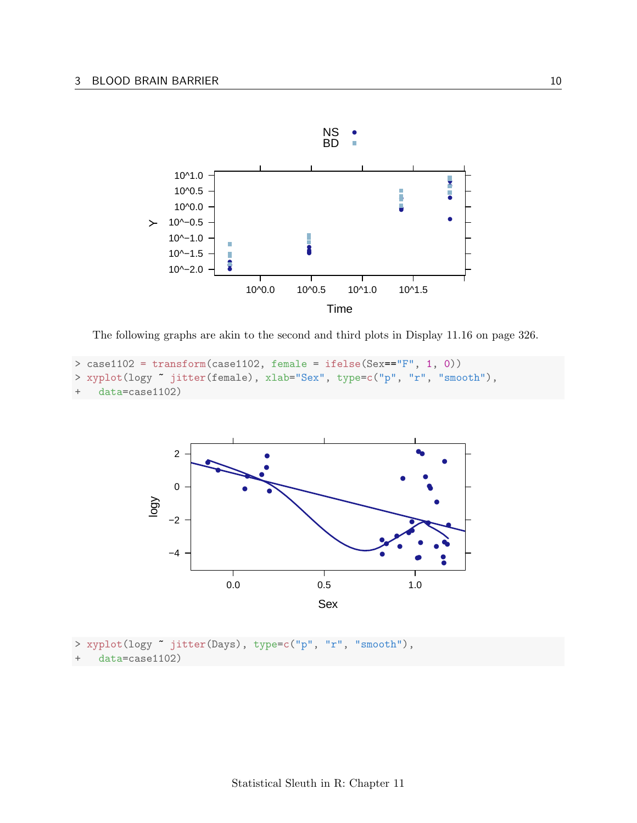

The following graphs are akin to the second and third plots in Display 11.16 on page 326.

```
> case1102 = transform(case1102, female = ifelse(Sex=="F", 1, 0))
> xyplot(logy ~ jitter(female), xlab="Sex", type=c("p", "r", "smooth"),
+ data=case1102)
```


```
> xyplot(logy ~ jitter(Days), type=c("p", "r", "smooth"),
+ data=case1102)
```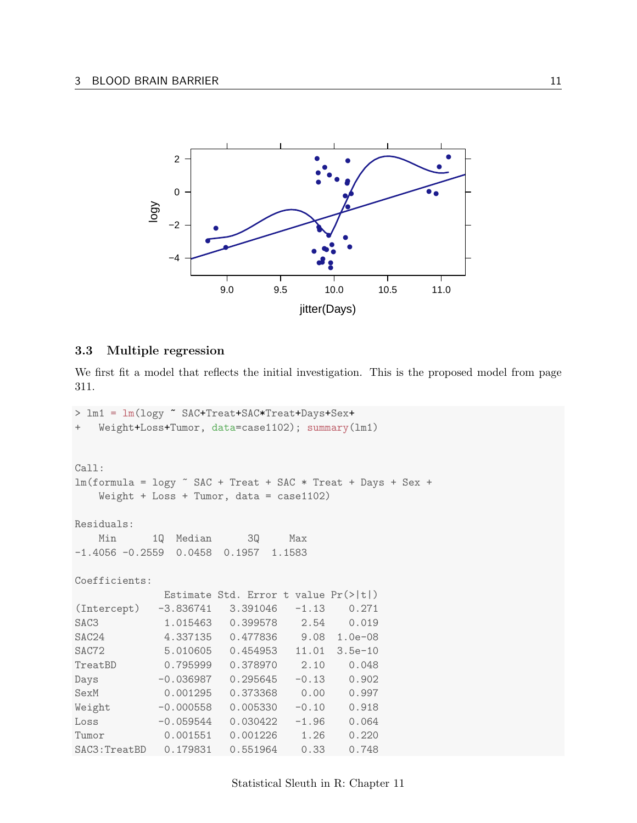

#### <span id="page-10-0"></span>3.3 Multiple regression

We first fit a model that reflects the initial investigation. This is the proposed model from page 311.

```
> lm1 = lm(logy ~ SAC+Treat+SAC*Treat+Days+Sex+
+ Weight+Loss+Tumor, data=case1102); summary(lm1)
Call:
lm(formula = logy \tilde{B} SAC + Treat + SAC * Treat + Days + Sex +
   Weight + Loss + Tumor, data = case1102)
Residuals:
   Min 1Q Median 3Q Max
-1.4056 -0.2559 0.0458 0.1957 1.1583
Coefficients:
            Estimate Std. Error t value Pr(>|t|)
(Intercept) -3.836741 3.391046 -1.13 0.271
SAC3 1.015463 0.399578 2.54 0.019
SAC24 4.337135 0.477836 9.08 1.0e-08
SAC72 5.010605 0.454953 11.01 3.5e-10
TreatBD 0.795999 0.378970 2.10 0.048
Days -0.036987 0.295645 -0.13 0.902
SexM 0.001295 0.373368 0.00 0.997
Weight -0.000558 0.005330 -0.10 0.918
Loss -0.059544 0.030422 -1.96 0.064
Tumor 0.001551 0.001226 1.26 0.220
SAC3:TreatBD 0.179831 0.551964 0.33 0.748
```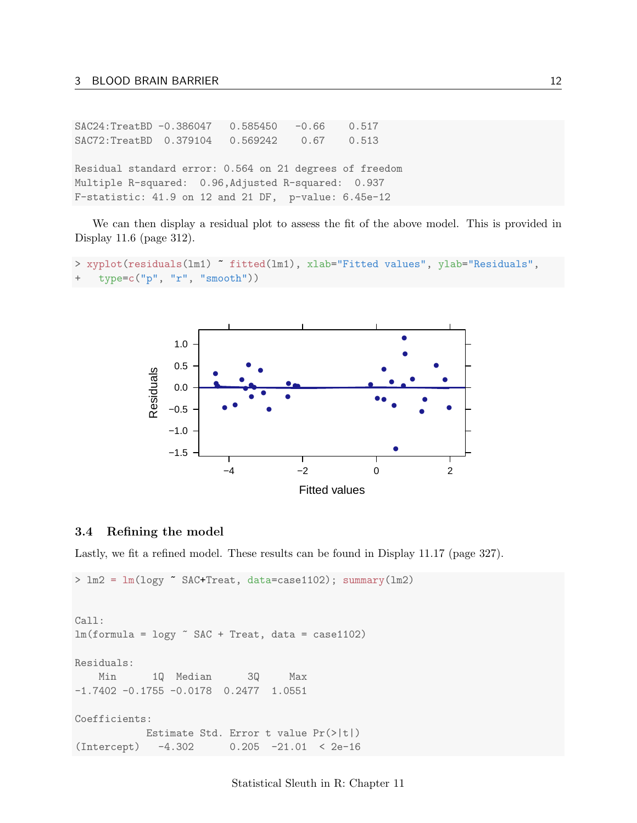### 3 BLOOD BRAIN BARRIER 12

SAC24:TreatBD -0.386047 0.585450 -0.66 0.517 SAC72:TreatBD 0.379104 0.569242 0.67 0.513 Residual standard error: 0.564 on 21 degrees of freedom Multiple R-squared: 0.96,Adjusted R-squared: 0.937 F-statistic: 41.9 on 12 and 21 DF, p-value: 6.45e-12

We can then display a residual plot to assess the fit of the above model. This is provided in Display 11.6 (page 312).

```
> xyplot(residuals(lm1) ~ fitted(lm1), xlab="Fitted values", ylab="Residuals",
+ type=c("p", "r", "smooth"))
```


### <span id="page-11-0"></span>3.4 Refining the model

Lastly, we fit a refined model. These results can be found in Display 11.17 (page 327).

```
> lm2 = lm(logy ~ SAC+Treat, data=case1102); summary(lm2)
Call:
lm(formula = logy \tilde{S} SAC + Treat, data = case1102)
Residuals:
   Min 1Q Median 3Q Max
-1.7402 -0.1755 -0.0178 0.2477 1.0551
Coefficients:
           Estimate Std. Error t value Pr(>|t|)
(Intercept) -4.302 0.205 -21.01 < 2e-16
```